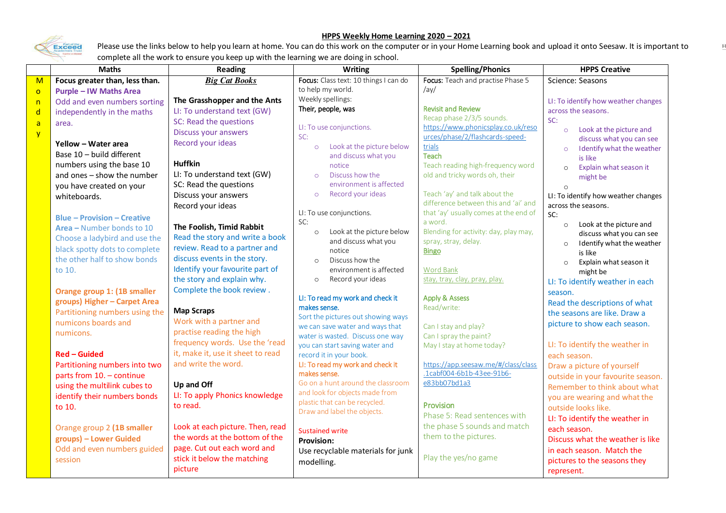## Exceed

## **HPPS Weekly Home Learning 2020 – 2021**

 $\mathbb F$ 

Please use the links below to help you learn at home. You can do this work on the computer or in your Home Learning book and upload it onto Seesaw. It is important to complete all the work to ensure you keep up with the learning we are doing in school.

|                | <b>Maths</b>                       | <b>Reading</b>                    | <b>Writing</b>                                   | <b>Spelling/Phonics</b>                                          | <b>HPPS Creative</b>                             |  |
|----------------|------------------------------------|-----------------------------------|--------------------------------------------------|------------------------------------------------------------------|--------------------------------------------------|--|
| $\mathsf{M}$   | Focus greater than, less than.     | <b>Big Cat Books</b>              | Focus: Class text: 10 things I can do            | Focus: Teach and practise Phase 5                                | Science: Seasons                                 |  |
| $\overline{O}$ | <b>Purple - IW Maths Area</b>      |                                   | to help my world.                                | /av/                                                             |                                                  |  |
| n              | Odd and even numbers sorting       | The Grasshopper and the Ants      | Weekly spellings:                                |                                                                  | LI: To identify how weather changes              |  |
| $\mathsf{d}$   | independently in the maths         | LI: To understand text (GW)       | Their, people, was                               | <b>Revisit and Review</b>                                        | across the seasons.                              |  |
| $\overline{a}$ | area.                              | SC: Read the questions            | LI: To use conjunctions.                         | Recap phase 2/3/5 sounds.<br>https://www.phonicsplay.co.uk/reso  | SC:                                              |  |
| $\overline{y}$ |                                    | Discuss your answers              | SC:                                              | urces/phase/2/flashcards-speed-                                  | Look at the picture and<br>$\circ$               |  |
|                | Yellow - Water area                | Record your ideas                 | Look at the picture below<br>$\circ$             | trials                                                           | discuss what you can see                         |  |
|                | Base 10 - build different          |                                   | and discuss what you                             | Teach                                                            | I dentify what the weather<br>$\circ$<br>is like |  |
|                | numbers using the base 10          | <b>Huffkin</b>                    | notice                                           | Teach reading high-frequency word                                | Explain what season it<br>$\circ$                |  |
|                | and ones - show the number         | LI: To understand text (GW)       | Discuss how the<br>$\circ$                       | old and tricky words oh, their                                   | might be                                         |  |
|                | you have created on your           | SC: Read the questions            | environment is affected                          |                                                                  |                                                  |  |
|                | whiteboards.                       | Discuss your answers              | Record your ideas<br>$\circ$                     | Teach 'ay' and talk about the                                    | LI: To identify how weather changes              |  |
|                |                                    | Record your ideas                 |                                                  | difference between this and 'ai' and                             | across the seasons.                              |  |
|                | <b>Blue - Provision - Creative</b> |                                   | LI: To use conjunctions.                         | that 'ay' usually comes at the end of                            | SC:                                              |  |
|                | Area - Number bonds to 10          | The Foolish, Timid Rabbit         | SC:                                              | a word.                                                          | Look at the picture and<br>$\circ$               |  |
|                | Choose a ladybird and use the      | Read the story and write a book   | Look at the picture below<br>$\circ$             | Blending for activity: day, play may,                            | discuss what you can see                         |  |
|                | black spotty dots to complete      | review. Read to a partner and     | and discuss what you<br>notice                   | spray, stray, delay.<br><b>Bingo</b>                             | I dentify what the weather                       |  |
|                | the other half to show bonds       | discuss events in the story.      | Discuss how the<br>$\Omega$                      |                                                                  | is like                                          |  |
|                | to 10.                             | Identify your favourite part of   | environment is affected                          | <b>Word Bank</b>                                                 | Explain what season it<br>$\circ$                |  |
|                |                                    | the story and explain why.        | Record your ideas<br>$\circ$                     | stay, tray, clay, pray, play.                                    | might be                                         |  |
|                | Orange group 1: (1B smaller        | Complete the book review.         |                                                  |                                                                  | LI: To identify weather in each                  |  |
|                | groups) Higher - Carpet Area       |                                   | LI: To read my work and check it                 | <b>Apply &amp; Assess</b>                                        | season.                                          |  |
|                | Partitioning numbers using the     | <b>Map Scraps</b>                 | makes sense.                                     | Read/write:                                                      | Read the descriptions of what                    |  |
|                | numicons boards and                | Work with a partner and           | Sort the pictures out showing ways               |                                                                  | the seasons are like. Draw a                     |  |
|                | numicons.                          | practise reading the high         | we can save water and ways that                  | Can I stay and play?                                             | picture to show each season.                     |  |
|                |                                    | frequency words. Use the 'read    | water is wasted. Discuss one way                 | Can I spray the paint?                                           |                                                  |  |
|                |                                    | it, make it, use it sheet to read | you can start saving water and                   | May I stay at home today?                                        | LI: To identify the weather in                   |  |
|                | <b>Red - Guided</b>                | and write the word.               | record it in your book.                          |                                                                  | each season.                                     |  |
|                | Partitioning numbers into two      |                                   | LI: To read my work and check it<br>makes sense. | https://app.seesaw.me/#/class/class<br>.1cabf004-6b1b-43ee-91b6- | Draw a picture of yourself                       |  |
|                | parts from 10. - continue          |                                   | Go on a hunt around the classroom                | e83bb07bd1a3                                                     | outside in your favourite season.                |  |
|                | using the multilink cubes to       | Up and Off                        | and look for objects made from                   |                                                                  | Remember to think about what                     |  |
|                | identify their numbers bonds       | LI: To apply Phonics knowledge    | plastic that can be recycled.                    |                                                                  | you are wearing and what the                     |  |
|                | to 10.                             | to read.                          | Draw and label the objects.                      | Provision<br>Phase 5: Read sentences with                        | outside looks like.                              |  |
|                |                                    |                                   |                                                  |                                                                  | LI: To identify the weather in                   |  |
|                | Orange group 2 (1B smaller         | Look at each picture. Then, read  | <b>Sustained write</b>                           | the phase 5 sounds and match                                     | each season.                                     |  |
|                | groups) - Lower Guided             | the words at the bottom of the    | <b>Provision:</b>                                | them to the pictures.                                            | Discuss what the weather is like                 |  |
|                | Odd and even numbers guided        | page. Cut out each word and       | Use recyclable materials for junk                |                                                                  | in each season. Match the                        |  |
|                | session                            | stick it below the matching       | modelling.                                       | Play the yes/no game                                             | pictures to the seasons they                     |  |
|                |                                    | picture                           |                                                  |                                                                  | represent.                                       |  |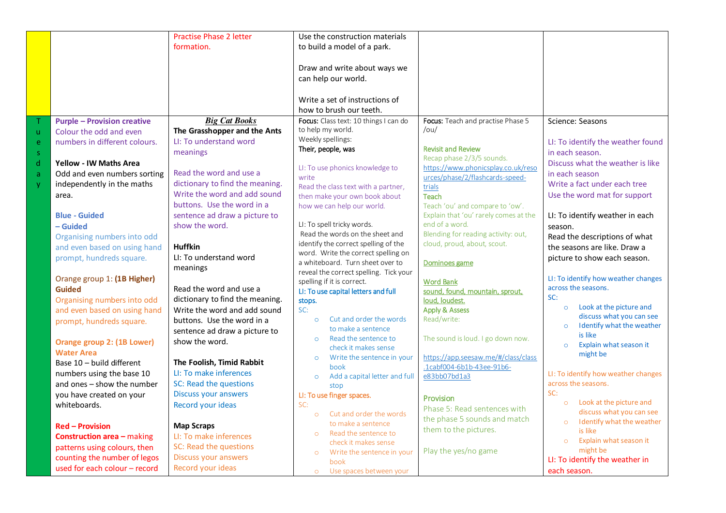|              |                                    | <b>Practise Phase 2 letter</b>                                  | Use the construction materials                                       |                                             |                                       |
|--------------|------------------------------------|-----------------------------------------------------------------|----------------------------------------------------------------------|---------------------------------------------|---------------------------------------|
|              |                                    | formation.                                                      | to build a model of a park.                                          |                                             |                                       |
|              |                                    |                                                                 |                                                                      |                                             |                                       |
|              |                                    |                                                                 | Draw and write about ways we                                         |                                             |                                       |
|              |                                    |                                                                 | can help our world.                                                  |                                             |                                       |
|              |                                    |                                                                 |                                                                      |                                             |                                       |
|              |                                    |                                                                 | Write a set of instructions of                                       |                                             |                                       |
|              |                                    |                                                                 | how to brush our teeth.                                              |                                             |                                       |
| ♦            | <b>Purple - Provision creative</b> | <b>Big Cat Books</b>                                            | Focus: Class text: 10 things I can do                                | Focus: Teach and practise Phase 5           | Science: Seasons                      |
| $\mathbf u$  | Colour the odd and even            | The Grasshopper and the Ants                                    | to help my world.                                                    | /ou/                                        |                                       |
| e            | numbers in different colours.      | LI: To understand word                                          | Weekly spellings:                                                    |                                             | LI: To identify the weather found     |
| $\mathsf{S}$ |                                    | meanings                                                        | Their, people, was                                                   | <b>Revisit and Review</b>                   | in each season.                       |
| $\mathsf{d}$ | <b>Yellow - IW Maths Area</b>      |                                                                 |                                                                      | Recap phase 2/3/5 sounds.                   | Discuss what the weather is like      |
| $\mathsf{a}$ | Odd and even numbers sorting       | Read the word and use a                                         | LI: To use phonics knowledge to                                      | https://www.phonicsplay.co.uk/reso          | in each season                        |
| y            | independently in the maths         | dictionary to find the meaning.                                 | write                                                                | urces/phase/2/flashcards-speed-             | Write a fact under each tree          |
|              | area.                              | Write the word and add sound                                    | Read the class text with a partner,<br>then make your own book about | trials<br><b>Teach</b>                      | Use the word mat for support          |
|              |                                    | buttons. Use the word in a                                      | how we can help our world.                                           | Teach 'ou' and compare to 'ow'.             |                                       |
|              | <b>Blue - Guided</b>               | sentence ad draw a picture to                                   |                                                                      | Explain that 'ou' rarely comes at the       | LI: To identify weather in each       |
|              | – Guided                           | show the word.                                                  | LI: To spell tricky words.                                           | end of a word.                              | season.                               |
|              | Organising numbers into odd        |                                                                 | Read the words on the sheet and                                      | Blending for reading activity: out,         | Read the descriptions of what         |
|              | and even based on using hand       | <b>Huffkin</b>                                                  | identify the correct spelling of the                                 | cloud, proud, about, scout.                 | the seasons are like. Draw a          |
|              | prompt, hundreds square.           | LI: To understand word                                          | word. Write the correct spelling on                                  |                                             | picture to show each season.          |
|              |                                    | meanings                                                        | a whiteboard. Turn sheet over to                                     | Dominoes game                               |                                       |
|              |                                    |                                                                 | reveal the correct spelling. Tick your                               |                                             | LI: To identify how weather changes   |
|              | Orange group 1: (1B Higher)        | Read the word and use a                                         | spelling if it is correct.                                           | <b>Word Bank</b>                            | across the seasons.                   |
|              | <b>Guided</b>                      |                                                                 | LI: To use capital letters and full                                  | sound, found, mountain, sprout,             | SC:                                   |
|              | Organising numbers into odd        | dictionary to find the meaning.<br>Write the word and add sound | stops.<br>SC:                                                        | loud, loudest.<br><b>Apply &amp; Assess</b> | Look at the picture and<br>$\circ$    |
|              | and even based on using hand       |                                                                 | Cut and order the words<br>$\circ$                                   | Read/write:                                 | discuss what you can see              |
|              | prompt, hundreds square.           | buttons. Use the word in a                                      | to make a sentence                                                   |                                             | I dentify what the weather<br>$\circ$ |
|              |                                    | sentence ad draw a picture to                                   | Read the sentence to<br>$\circ$                                      | The sound is loud. I go down now.           | is like                               |
|              | Orange group 2: (1B Lower)         | show the word.                                                  | check it makes sense                                                 |                                             | Explain what season it<br>$\circ$     |
|              | <b>Water Area</b>                  |                                                                 | Write the sentence in your<br>$\circ$                                | https://app.seesaw.me/#/class/class         | might be                              |
|              | Base 10 - build different          | The Foolish, Timid Rabbit                                       | book                                                                 | .1cabf004-6b1b-43ee-91b6-                   |                                       |
|              | numbers using the base 10          | LI: To make inferences                                          | Add a capital letter and full<br>$\circ$                             | e83bb07bd1a3                                | LI: To identify how weather changes   |
|              | and ones - show the number         | SC: Read the questions                                          | stop                                                                 |                                             | across the seasons.<br>SC:            |
|              | you have created on your           | <b>Discuss your answers</b>                                     | LI: To use finger spaces.                                            | Provision                                   | Look at the picture and<br>$\circ$    |
|              | whiteboards.                       | Record your ideas                                               | SC:                                                                  | Phase 5: Read sentences with                | discuss what you can see              |
|              |                                    |                                                                 | Cut and order the words<br>$\circ$<br>to make a sentence             | the phase 5 sounds and match                | I dentify what the weather<br>$\circ$ |
|              | <b>Red - Provision</b>             | <b>Map Scraps</b>                                               | Read the sentence to<br>$\circ$                                      | them to the pictures.                       | is like                               |
|              | <b>Construction area - making</b>  | LI: To make inferences                                          | check it makes sense                                                 |                                             | Explain what season it<br>$\circ$     |
|              | patterns using colours, then       | SC: Read the questions                                          | Write the sentence in your<br>$\circ$                                | Play the yes/no game                        | might be                              |
|              | counting the number of legos       | Discuss your answers                                            | book                                                                 |                                             | LI: To identify the weather in        |
|              | used for each colour - record      | Record your ideas                                               | Use spaces between your<br>$\circ$                                   |                                             | each season.                          |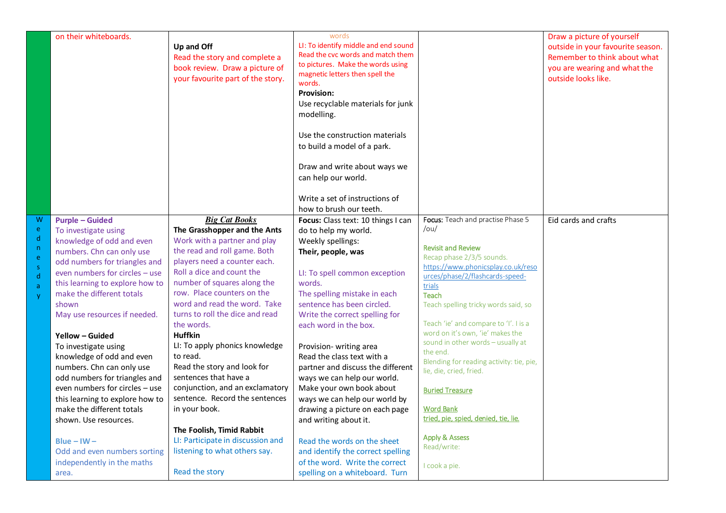|                                   | on their whiteboards.                                                                                              |                                   | words                                |                                           | Draw a picture of yourself        |
|-----------------------------------|--------------------------------------------------------------------------------------------------------------------|-----------------------------------|--------------------------------------|-------------------------------------------|-----------------------------------|
|                                   | Up and Off<br>Read the story and complete a<br>book review. Draw a picture of<br>your favourite part of the story. |                                   | LI: To identify middle and end sound |                                           | outside in your favourite season. |
|                                   |                                                                                                                    |                                   | Read the cvc words and match them    |                                           | Remember to think about what      |
|                                   |                                                                                                                    |                                   | to pictures. Make the words using    |                                           | you are wearing and what the      |
|                                   |                                                                                                                    |                                   | magnetic letters then spell the      |                                           | outside looks like.               |
|                                   |                                                                                                                    |                                   | words.                               |                                           |                                   |
|                                   |                                                                                                                    |                                   | <b>Provision:</b>                    |                                           |                                   |
|                                   |                                                                                                                    |                                   | Use recyclable materials for junk    |                                           |                                   |
|                                   |                                                                                                                    |                                   | modelling.                           |                                           |                                   |
|                                   |                                                                                                                    |                                   |                                      |                                           |                                   |
|                                   |                                                                                                                    |                                   | Use the construction materials       |                                           |                                   |
|                                   |                                                                                                                    |                                   | to build a model of a park.          |                                           |                                   |
|                                   |                                                                                                                    |                                   |                                      |                                           |                                   |
|                                   |                                                                                                                    |                                   | Draw and write about ways we         |                                           |                                   |
|                                   |                                                                                                                    |                                   | can help our world.                  |                                           |                                   |
|                                   |                                                                                                                    |                                   |                                      |                                           |                                   |
|                                   |                                                                                                                    |                                   |                                      |                                           |                                   |
|                                   |                                                                                                                    |                                   | Write a set of instructions of       |                                           |                                   |
|                                   |                                                                                                                    |                                   | how to brush our teeth.              |                                           |                                   |
| W                                 | <b>Purple - Guided</b>                                                                                             | <b>Big Cat Books</b>              | Focus: Class text: 10 things I can   | Focus: Teach and practise Phase 5<br>/ou/ | Eid cards and crafts              |
| ${\bf e}$<br>$\mathsf{d}$         | To investigate using                                                                                               | The Grasshopper and the Ants      | do to help my world.                 |                                           |                                   |
| $\mathsf{n}$                      | knowledge of odd and even                                                                                          | Work with a partner and play      | Weekly spellings:                    | <b>Revisit and Review</b>                 |                                   |
| $\mathsf{e}% _{t}\left( t\right)$ | numbers. Chn can only use                                                                                          | the read and roll game. Both      | Their, people, was                   | Recap phase 2/3/5 sounds.                 |                                   |
| $\mathsf S$                       | odd numbers for triangles and                                                                                      | players need a counter each.      |                                      | https://www.phonicsplay.co.uk/reso        |                                   |
| $\mathsf{d}$                      | even numbers for circles - use                                                                                     | Roll a dice and count the         | LI: To spell common exception        | urces/phase/2/flashcards-speed-           |                                   |
| $\mathsf{a}$                      | this learning to explore how to                                                                                    | number of squares along the       | words.                               | trials                                    |                                   |
| $\mathsf{y}$                      | make the different totals                                                                                          | row. Place counters on the        | The spelling mistake in each         | <b>Teach</b>                              |                                   |
|                                   | shown                                                                                                              | word and read the word. Take      | sentence has been circled.           | Teach spelling tricky words said, so      |                                   |
|                                   | turns to roll the dice and read<br>May use resources if needed.                                                    |                                   | Write the correct spelling for       |                                           |                                   |
|                                   |                                                                                                                    | the words.                        | each word in the box.                | Teach 'ie' and compare to 'I'. I is a     |                                   |
|                                   | Yellow - Guided                                                                                                    | <b>Huffkin</b>                    |                                      | word on it's own, 'ie' makes the          |                                   |
|                                   | To investigate using                                                                                               | LI: To apply phonics knowledge    | Provision-writing area               | sound in other words - usually at         |                                   |
|                                   | knowledge of odd and even                                                                                          | to read.                          | Read the class text with a           | the end.                                  |                                   |
|                                   | numbers. Chn can only use                                                                                          | Read the story and look for       | partner and discuss the different    | Blending for reading activity: tie, pie,  |                                   |
|                                   | odd numbers for triangles and                                                                                      | sentences that have a             | ways we can help our world.          | lie, die, cried, fried.                   |                                   |
|                                   | even numbers for circles - use                                                                                     | conjunction, and an exclamatory   | Make your own book about             |                                           |                                   |
|                                   | this learning to explore how to                                                                                    | sentence. Record the sentences    | ways we can help our world by        | <b>Buried Treasure</b>                    |                                   |
|                                   | in your book.<br>make the different totals<br>shown. Use resources.<br>The Foolish, Timid Rabbit                   |                                   | drawing a picture on each page       | <b>Word Bank</b>                          |                                   |
|                                   |                                                                                                                    |                                   |                                      | tried, pie, spied, denied, tie, lie.      |                                   |
|                                   |                                                                                                                    |                                   | and writing about it.                |                                           |                                   |
|                                   |                                                                                                                    |                                   |                                      | <b>Apply &amp; Assess</b>                 |                                   |
|                                   | Blue $-$ IW $-$                                                                                                    | LI: Participate in discussion and | Read the words on the sheet          | Read/write:                               |                                   |
|                                   | Odd and even numbers sorting                                                                                       | listening to what others say.     | and identify the correct spelling    |                                           |                                   |
|                                   | independently in the maths                                                                                         |                                   | of the word. Write the correct       | I cook a pie.                             |                                   |
|                                   | area.                                                                                                              | Read the story                    | spelling on a whiteboard. Turn       |                                           |                                   |